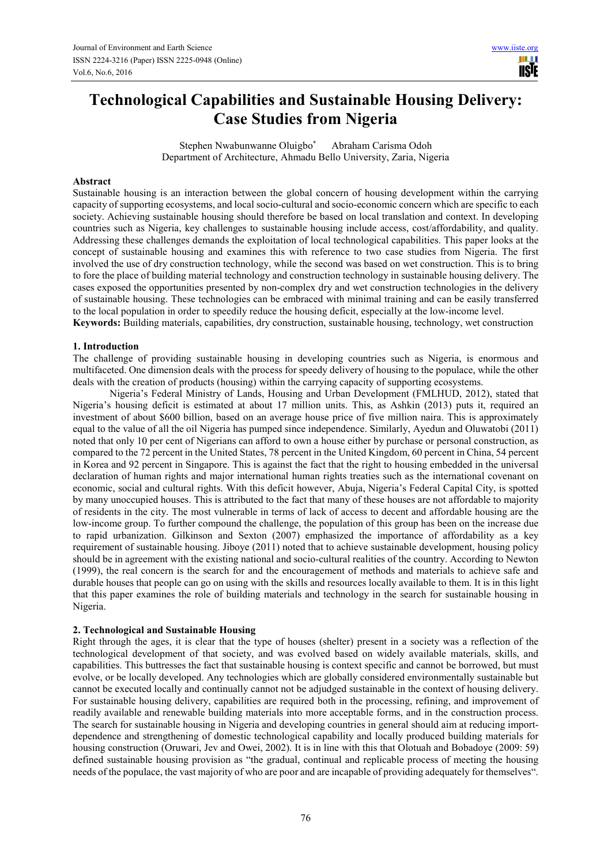# **Technological Capabilities and Sustainable Housing Delivery: Case Studies from Nigeria**

Stephen Nwabunwanne Oluigbo\* Abraham Carisma Odoh Department of Architecture, Ahmadu Bello University, Zaria, Nigeria

#### **Abstract**

Sustainable housing is an interaction between the global concern of housing development within the carrying capacity of supporting ecosystems, and local socio-cultural and socio-economic concern which are specific to each society. Achieving sustainable housing should therefore be based on local translation and context. In developing countries such as Nigeria, key challenges to sustainable housing include access, cost/affordability, and quality. Addressing these challenges demands the exploitation of local technological capabilities. This paper looks at the concept of sustainable housing and examines this with reference to two case studies from Nigeria. The first involved the use of dry construction technology, while the second was based on wet construction. This is to bring to fore the place of building material technology and construction technology in sustainable housing delivery. The cases exposed the opportunities presented by non-complex dry and wet construction technologies in the delivery of sustainable housing. These technologies can be embraced with minimal training and can be easily transferred to the local population in order to speedily reduce the housing deficit, especially at the low-income level.

**Keywords:** Building materials, capabilities, dry construction, sustainable housing, technology, wet construction

#### **1. Introduction**

The challenge of providing sustainable housing in developing countries such as Nigeria, is enormous and multifaceted. One dimension deals with the process for speedy delivery of housing to the populace, while the other deals with the creation of products (housing) within the carrying capacity of supporting ecosystems.

Nigeria's Federal Ministry of Lands, Housing and Urban Development (FMLHUD, 2012), stated that Nigeria's housing deficit is estimated at about 17 million units. This, as Ashkin (2013) puts it, required an investment of about \$600 billion, based on an average house price of five million naira. This is approximately equal to the value of all the oil Nigeria has pumped since independence. Similarly, Ayedun and Oluwatobi (2011) noted that only 10 per cent of Nigerians can afford to own a house either by purchase or personal construction, as compared to the 72 percent in the United States, 78 percent in the United Kingdom, 60 percent in China, 54 percent in Korea and 92 percent in Singapore. This is against the fact that the right to housing embedded in the universal declaration of human rights and major international human rights treaties such as the international covenant on economic, social and cultural rights. With this deficit however, Abuja, Nigeria's Federal Capital City, is spotted by many unoccupied houses. This is attributed to the fact that many of these houses are not affordable to majority of residents in the city. The most vulnerable in terms of lack of access to decent and affordable housing are the low-income group. To further compound the challenge, the population of this group has been on the increase due to rapid urbanization. Gilkinson and Sexton (2007) emphasized the importance of affordability as a key requirement of sustainable housing. Jiboye (2011) noted that to achieve sustainable development, housing policy should be in agreement with the existing national and socio-cultural realities of the country. According to Newton (1999), the real concern is the search for and the encouragement of methods and materials to achieve safe and durable houses that people can go on using with the skills and resources locally available to them. It is in this light that this paper examines the role of building materials and technology in the search for sustainable housing in Nigeria.

# **2. Technological and Sustainable Housing**

Right through the ages, it is clear that the type of houses (shelter) present in a society was a reflection of the technological development of that society, and was evolved based on widely available materials, skills, and capabilities. This buttresses the fact that sustainable housing is context specific and cannot be borrowed, but must evolve, or be locally developed. Any technologies which are globally considered environmentally sustainable but cannot be executed locally and continually cannot not be adjudged sustainable in the context of housing delivery. For sustainable housing delivery, capabilities are required both in the processing, refining, and improvement of readily available and renewable building materials into more acceptable forms, and in the construction process. The search for sustainable housing in Nigeria and developing countries in general should aim at reducing importdependence and strengthening of domestic technological capability and locally produced building materials for housing construction (Oruwari, Jev and Owei, 2002). It is in line with this that Olotuah and Bobadoye (2009: 59) defined sustainable housing provision as "the gradual, continual and replicable process of meeting the housing needs of the populace, the vast majority of who are poor and are incapable of providing adequately for themselves".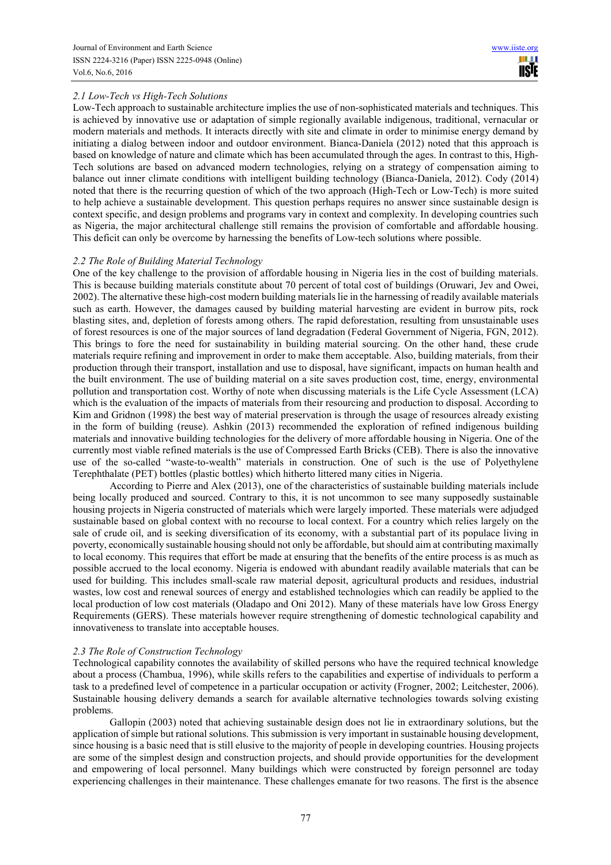# *2.1 Low-Tech vs High-Tech Solutions*

Low-Tech approach to sustainable architecture implies the use of non-sophisticated materials and techniques. This is achieved by innovative use or adaptation of simple regionally available indigenous, traditional, vernacular or modern materials and methods. It interacts directly with site and climate in order to minimise energy demand by initiating a dialog between indoor and outdoor environment. Bianca-Daniela (2012) noted that this approach is based on knowledge of nature and climate which has been accumulated through the ages. In contrast to this, High-Tech solutions are based on advanced modern technologies, relying on a strategy of compensation aiming to balance out inner climate conditions with intelligent building technology (Bianca-Daniela, 2012). Cody (2014) noted that there is the recurring question of which of the two approach (High-Tech or Low-Tech) is more suited to help achieve a sustainable development. This question perhaps requires no answer since sustainable design is context specific, and design problems and programs vary in context and complexity. In developing countries such as Nigeria, the major architectural challenge still remains the provision of comfortable and affordable housing. This deficit can only be overcome by harnessing the benefits of Low-tech solutions where possible.

# *2.2 The Role of Building Material Technology*

One of the key challenge to the provision of affordable housing in Nigeria lies in the cost of building materials. This is because building materials constitute about 70 percent of total cost of buildings (Oruwari, Jev and Owei, 2002). The alternative these high-cost modern building materials lie in the harnessing of readily available materials such as earth. However, the damages caused by building material harvesting are evident in burrow pits, rock blasting sites, and, depletion of forests among others. The rapid deforestation, resulting from unsustainable uses of forest resources is one of the major sources of land degradation (Federal Government of Nigeria, FGN, 2012). This brings to fore the need for sustainability in building material sourcing. On the other hand, these crude materials require refining and improvement in order to make them acceptable. Also, building materials, from their production through their transport, installation and use to disposal, have significant, impacts on human health and the built environment. The use of building material on a site saves production cost, time, energy, environmental pollution and transportation cost. Worthy of note when discussing materials is the Life Cycle Assessment (LCA) which is the evaluation of the impacts of materials from their resourcing and production to disposal. According to Kim and Gridnon (1998) the best way of material preservation is through the usage of resources already existing in the form of building (reuse). Ashkin (2013) recommended the exploration of refined indigenous building materials and innovative building technologies for the delivery of more affordable housing in Nigeria. One of the currently most viable refined materials is the use of Compressed Earth Bricks (CEB). There is also the innovative use of the so-called "waste-to-wealth" materials in construction. One of such is the use of Polyethylene Terephthalate (PET) bottles (plastic bottles) which hitherto littered many cities in Nigeria.

According to Pierre and Alex (2013), one of the characteristics of sustainable building materials include being locally produced and sourced. Contrary to this, it is not uncommon to see many supposedly sustainable housing projects in Nigeria constructed of materials which were largely imported. These materials were adjudged sustainable based on global context with no recourse to local context. For a country which relies largely on the sale of crude oil, and is seeking diversification of its economy, with a substantial part of its populace living in poverty, economically sustainable housing should not only be affordable, but should aim at contributing maximally to local economy. This requires that effort be made at ensuring that the benefits of the entire process is as much as possible accrued to the local economy. Nigeria is endowed with abundant readily available materials that can be used for building. This includes small-scale raw material deposit, agricultural products and residues, industrial wastes, low cost and renewal sources of energy and established technologies which can readily be applied to the local production of low cost materials (Oladapo and Oni 2012). Many of these materials have low Gross Energy Requirements (GERS). These materials however require strengthening of domestic technological capability and innovativeness to translate into acceptable houses.

#### *2.3 The Role of Construction Technology*

Technological capability connotes the availability of skilled persons who have the required technical knowledge about a process (Chambua, 1996), while skills refers to the capabilities and expertise of individuals to perform a task to a predefined level of competence in a particular occupation or activity (Frogner, 2002; Leitchester, 2006). Sustainable housing delivery demands a search for available alternative technologies towards solving existing problems.

Gallopin (2003) noted that achieving sustainable design does not lie in extraordinary solutions, but the application of simple but rational solutions. This submission is very important in sustainable housing development, since housing is a basic need that is still elusive to the majority of people in developing countries. Housing projects are some of the simplest design and construction projects, and should provide opportunities for the development and empowering of local personnel. Many buildings which were constructed by foreign personnel are today experiencing challenges in their maintenance. These challenges emanate for two reasons. The first is the absence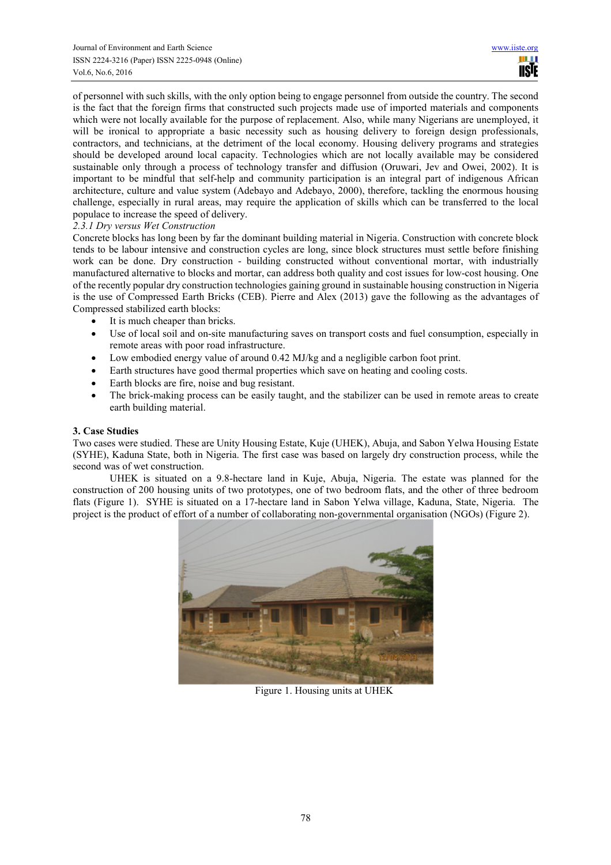of personnel with such skills, with the only option being to engage personnel from outside the country. The second is the fact that the foreign firms that constructed such projects made use of imported materials and components which were not locally available for the purpose of replacement. Also, while many Nigerians are unemployed, it will be ironical to appropriate a basic necessity such as housing delivery to foreign design professionals, contractors, and technicians, at the detriment of the local economy. Housing delivery programs and strategies should be developed around local capacity. Technologies which are not locally available may be considered sustainable only through a process of technology transfer and diffusion (Oruwari, Jev and Owei, 2002). It is important to be mindful that self-help and community participation is an integral part of indigenous African architecture, culture and value system (Adebayo and Adebayo, 2000), therefore, tackling the enormous housing challenge, especially in rural areas, may require the application of skills which can be transferred to the local populace to increase the speed of delivery.

# *2.3.1 Dry versus Wet Construction*

Concrete blocks has long been by far the dominant building material in Nigeria. Construction with concrete block tends to be labour intensive and construction cycles are long, since block structures must settle before finishing work can be done. Dry construction - building constructed without conventional mortar, with industrially manufactured alternative to blocks and mortar, can address both quality and cost issues for low-cost housing. One of the recently popular dry construction technologies gaining ground in sustainable housing construction in Nigeria is the use of Compressed Earth Bricks (CEB). Pierre and Alex (2013) gave the following as the advantages of Compressed stabilized earth blocks:

- It is much cheaper than bricks.
- Use of local soil and on-site manufacturing saves on transport costs and fuel consumption, especially in remote areas with poor road infrastructure.
- Low embodied energy value of around 0.42 MJ/kg and a negligible carbon foot print.
- Earth structures have good thermal properties which save on heating and cooling costs.
- Earth blocks are fire, noise and bug resistant.
- The brick-making process can be easily taught, and the stabilizer can be used in remote areas to create earth building material.

# **3. Case Studies**

Two cases were studied. These are Unity Housing Estate, Kuje (UHEK), Abuja, and Sabon Yelwa Housing Estate (SYHE), Kaduna State, both in Nigeria. The first case was based on largely dry construction process, while the second was of wet construction.

UHEK is situated on a 9.8-hectare land in Kuje, Abuja, Nigeria. The estate was planned for the construction of 200 housing units of two prototypes, one of two bedroom flats, and the other of three bedroom flats (Figure 1). SYHE is situated on a 17-hectare land in Sabon Yelwa village, Kaduna, State, Nigeria. The project is the product of effort of a number of collaborating non-governmental organisation (NGOs) (Figure 2).



Figure 1. Housing units at UHEK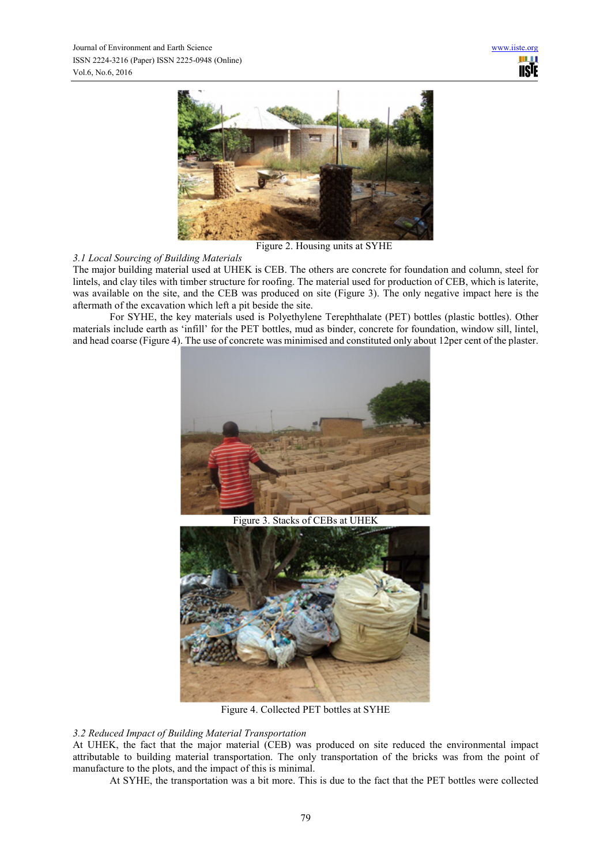

Figure 2. Housing units at SYHE

# *3.1 Local Sourcing of Building Materials*

The major building material used at UHEK is CEB. The others are concrete for foundation and column, steel for lintels, and clay tiles with timber structure for roofing. The material used for production of CEB, which is laterite, was available on the site, and the CEB was produced on site (Figure 3). The only negative impact here is the aftermath of the excavation which left a pit beside the site.

For SYHE, the key materials used is Polyethylene Terephthalate (PET) bottles (plastic bottles). Other materials include earth as 'infill' for the PET bottles, mud as binder, concrete for foundation, window sill, lintel, and head coarse (Figure 4). The use of concrete was minimised and constituted only about 12per cent of the plaster.



Figure 3. Stacks of CEBs at UHEK



Figure 4. Collected PET bottles at SYHE

# *3.2 Reduced Impact of Building Material Transportation*

At UHEK, the fact that the major material (CEB) was produced on site reduced the environmental impact attributable to building material transportation. The only transportation of the bricks was from the point of manufacture to the plots, and the impact of this is minimal.

At SYHE, the transportation was a bit more. This is due to the fact that the PET bottles were collected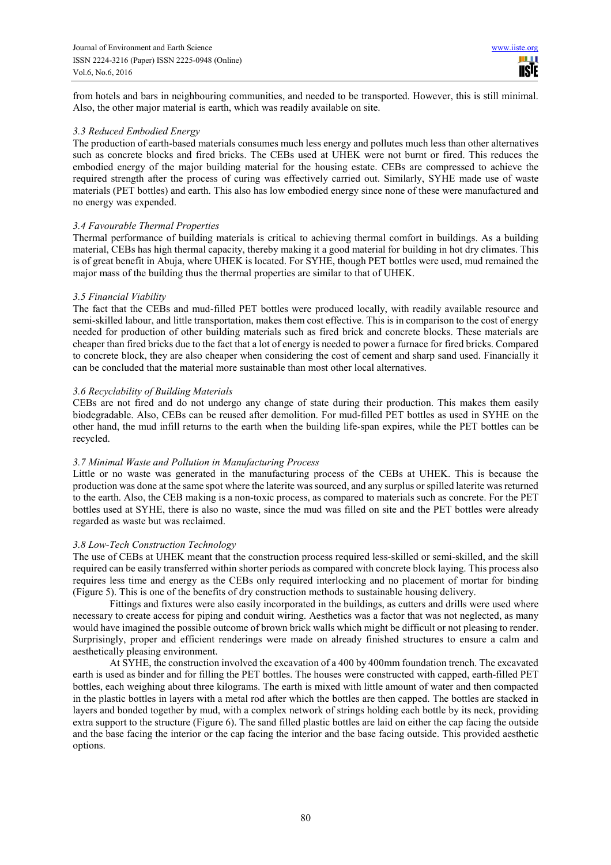from hotels and bars in neighbouring communities, and needed to be transported. However, this is still minimal. Also, the other major material is earth, which was readily available on site.

#### *3.3 Reduced Embodied Energy*

The production of earth-based materials consumes much less energy and pollutes much less than other alternatives such as concrete blocks and fired bricks. The CEBs used at UHEK were not burnt or fired. This reduces the embodied energy of the major building material for the housing estate. CEBs are compressed to achieve the required strength after the process of curing was effectively carried out. Similarly, SYHE made use of waste materials (PET bottles) and earth. This also has low embodied energy since none of these were manufactured and no energy was expended.

#### *3.4 Favourable Thermal Properties*

Thermal performance of building materials is critical to achieving thermal comfort in buildings. As a building material, CEBs has high thermal capacity, thereby making it a good material for building in hot dry climates. This is of great benefit in Abuja, where UHEK is located. For SYHE, though PET bottles were used, mud remained the major mass of the building thus the thermal properties are similar to that of UHEK.

#### *3.5 Financial Viability*

The fact that the CEBs and mud-filled PET bottles were produced locally, with readily available resource and semi-skilled labour, and little transportation, makes them cost effective. This is in comparison to the cost of energy needed for production of other building materials such as fired brick and concrete blocks. These materials are cheaper than fired bricks due to the fact that a lot of energy is needed to power a furnace for fired bricks. Compared to concrete block, they are also cheaper when considering the cost of cement and sharp sand used. Financially it can be concluded that the material more sustainable than most other local alternatives.

#### *3.6 Recyclability of Building Materials*

CEBs are not fired and do not undergo any change of state during their production. This makes them easily biodegradable. Also, CEBs can be reused after demolition. For mud-filled PET bottles as used in SYHE on the other hand, the mud infill returns to the earth when the building life-span expires, while the PET bottles can be recycled.

# *3.7 Minimal Waste and Pollution in Manufacturing Process*

Little or no waste was generated in the manufacturing process of the CEBs at UHEK. This is because the production was done at the same spot where the laterite was sourced, and any surplus or spilled laterite was returned to the earth. Also, the CEB making is a non-toxic process, as compared to materials such as concrete. For the PET bottles used at SYHE, there is also no waste, since the mud was filled on site and the PET bottles were already regarded as waste but was reclaimed.

#### *3.8 Low-Tech Construction Technology*

The use of CEBs at UHEK meant that the construction process required less-skilled or semi-skilled, and the skill required can be easily transferred within shorter periods as compared with concrete block laying. This process also requires less time and energy as the CEBs only required interlocking and no placement of mortar for binding (Figure 5). This is one of the benefits of dry construction methods to sustainable housing delivery.

Fittings and fixtures were also easily incorporated in the buildings, as cutters and drills were used where necessary to create access for piping and conduit wiring. Aesthetics was a factor that was not neglected, as many would have imagined the possible outcome of brown brick walls which might be difficult or not pleasing to render. Surprisingly, proper and efficient renderings were made on already finished structures to ensure a calm and aesthetically pleasing environment.

At SYHE, the construction involved the excavation of a 400 by 400mm foundation trench. The excavated earth is used as binder and for filling the PET bottles. The houses were constructed with capped, earth-filled PET bottles, each weighing about three kilograms. The earth is mixed with little amount of water and then compacted in the plastic bottles in layers with a metal rod after which the bottles are then capped. The bottles are stacked in layers and bonded together by mud, with a complex network of strings holding each bottle by its neck, providing extra support to the structure (Figure 6). The sand filled plastic bottles are laid on either the cap facing the outside and the base facing the interior or the cap facing the interior and the base facing outside. This provided aesthetic options.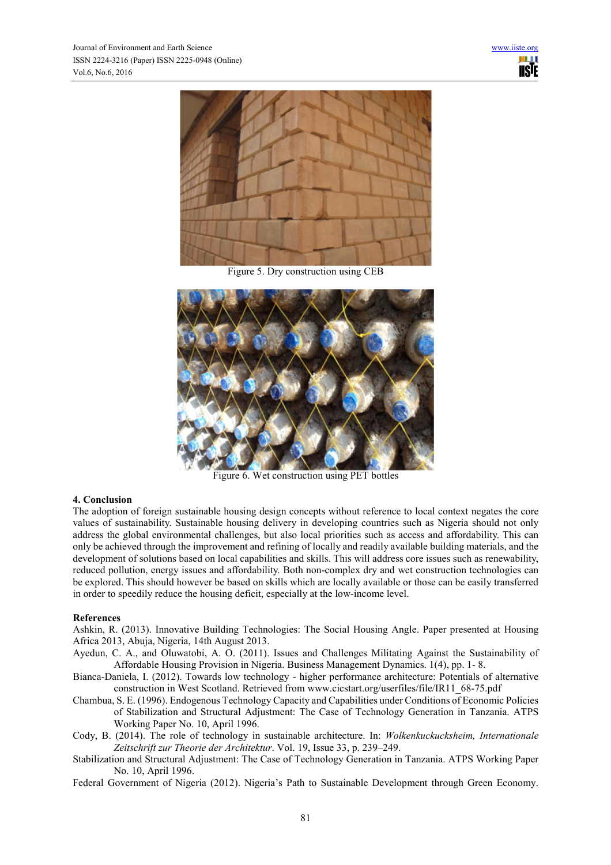

Figure 5. Dry construction using CEB



Figure 6. Wet construction using PET bottles

# **4. Conclusion**

The adoption of foreign sustainable housing design concepts without reference to local context negates the core values of sustainability. Sustainable housing delivery in developing countries such as Nigeria should not only address the global environmental challenges, but also local priorities such as access and affordability. This can only be achieved through the improvement and refining of locally and readily available building materials, and the development of solutions based on local capabilities and skills. This will address core issues such as renewability, reduced pollution, energy issues and affordability. Both non-complex dry and wet construction technologies can be explored. This should however be based on skills which are locally available or those can be easily transferred in order to speedily reduce the housing deficit, especially at the low-income level.

#### **References**

Ashkin, R. (2013). Innovative Building Technologies: The Social Housing Angle. Paper presented at Housing Africa 2013, Abuja, Nigeria, 14th August 2013.

- Ayedun, C. A., and Oluwatobi, A. O. (2011). Issues and Challenges Militating Against the Sustainability of Affordable Housing Provision in Nigeria. Business Management Dynamics. 1(4), pp. 1- 8.
- Bianca-Daniela, I. (2012). Towards low technology higher performance architecture: Potentials of alternative construction in West Scotland. Retrieved from www.cicstart.org/userfiles/file/IR11\_68-75.pdf
- Chambua, S. E. (1996). Endogenous Technology Capacity and Capabilities under Conditions of Economic Policies of Stabilization and Structural Adjustment: The Case of Technology Generation in Tanzania. ATPS Working Paper No. 10, April 1996.
- Cody, B. (2014). The role of technology in sustainable architecture. In: *Wolkenkuckucksheim, Internationale Zeitschrift zur Theorie der Architektur*. Vol. 19, Issue 33, p. 239–249.
- Stabilization and Structural Adjustment: The Case of Technology Generation in Tanzania. ATPS Working Paper No. 10, April 1996.

Federal Government of Nigeria (2012). Nigeria's Path to Sustainable Development through Green Economy.